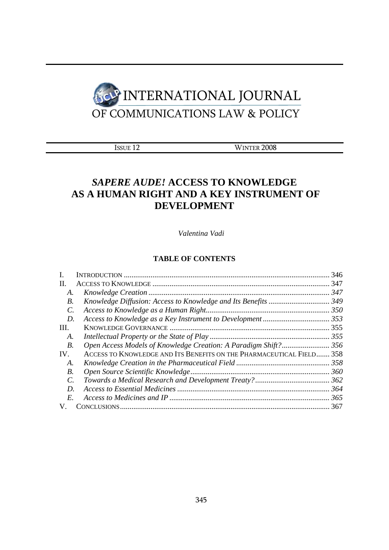

|--|

WINTER 2008

# *SAPERE AUDE!* **ACCESS TO KNOWLEDGE AS A HUMAN RIGHT AND A KEY INSTRUMENT OF DEVELOPMENT**

*Valentina Vadi* 

## **TABLE OF CONTENTS**

|            |                                                                      | 346 |
|------------|----------------------------------------------------------------------|-----|
| П.         |                                                                      |     |
| А.         |                                                                      | 347 |
| В.         |                                                                      |     |
| C.         |                                                                      |     |
| D.         |                                                                      |     |
| III.       |                                                                      |     |
| A.         |                                                                      |     |
| <i>B</i> . |                                                                      |     |
| IV.        | ACCESS TO KNOWLEDGE AND ITS BENEFITS ON THE PHARMACEUTICAL FIELD 358 |     |
| А.         |                                                                      |     |
| В.         |                                                                      |     |
| C.         |                                                                      |     |
| D.         |                                                                      |     |
| E.         |                                                                      | 365 |
|            |                                                                      |     |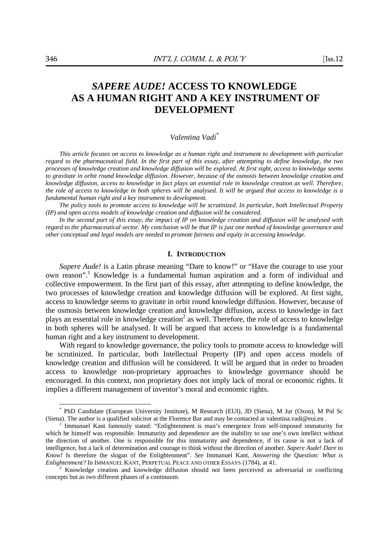## *SAPERE AUDE!* **ACCESS TO KNOWLEDGE AS A HUMAN RIGHT AND A KEY INSTRUMENT OF DEVELOPMENT**

## *Valentina Vadi\**

*This article focuses on access to knowledge as a human right and instrument to development with particular regard to the pharmaceutical field. In the first part of this essay, after attempting to define knowledge, the two processes of knowledge creation and knowledge diffusion will be explored. At first sight, access to knowledge seems to gravitate in orbit round knowledge diffusion. However, because of the osmosis between knowledge creation and knowledge diffusion, access to knowledge in fact plays an essential role in knowledge creation as well. Therefore, the role of access to knowledge in both spheres will be analysed. It will be argued that access to knowledge is a fundamental human right and a key instrument to development.* 

*The policy tools to promote access to knowledge will be scrutinized. In particular, both Intellectual Property (IP) and open access models of knowledge creation and diffusion will be considered.* 

In the second part of this essay, the impact of IP on knowledge creation and diffusion will be analysed with *regard to the pharmaceutical sector. My conclusion will be that IP is just one method of knowledge governance and other conceptual and legal models are needed to promote fairness and equity in accessing knowledge.* 

### **I. INTRODUCTION**

*Sapere Aude!* is a Latin phrase meaning "Dare to know!" or "Have the courage to use your own reason".<sup>1</sup> Knowledge is a fundamental human aspiration and a form of individual and collective empowerment. In the first part of this essay, after attempting to define knowledge, the two processes of knowledge creation and knowledge diffusion will be explored. At first sight, access to knowledge seems to gravitate in orbit round knowledge diffusion. However, because of the osmosis between knowledge creation and knowledge diffusion, access to knowledge in fact plays an essential role in knowledge creation<sup>2</sup> as well. Therefore, the role of access to knowledge in both spheres will be analysed. It will be argued that access to knowledge is a fundamental human right and a key instrument to development.

With regard to knowledge governance, the policy tools to promote access to knowledge will be scrutinized. In particular, both Intellectual Property (IP) and open access models of knowledge creation and diffusion will be considered. It will be argued that in order to broaden access to knowledge non-proprietary approaches to knowledge governance should be encouraged. In this context, non proprietary does not imply lack of moral or economic rights. It implies a different management of inventor's moral and economic rights.

<sup>\*</sup> PhD Candidate (European University Institute), M Research (EUI), JD (Siena), M Jur (Oxon), M Pol Sc (Siena). The author is a qualified solicitor at the Florence Bar and may be contacted at valentina.vadi@eui.eu . 1

Immanuel Kant famously stated: "Enlightenment is man's emergence from self-imposed immaturity for which he himself was responsible. Immaturity and dependence are the inability to use one's own intellect without the direction of another. One is responsible for this immaturity and dependence, if its cause is not a lack of intelligence, but a lack of determination and courage to think without the direction of another. *Sapere Aude! Dare to Know!* Is therefore the slogan of the Enlightenment". *See* Immanuel Kant, *Answering the Question: What is Enlightenment?* In IMMANUEL KANT, PERPETUAL PEACE AND OTHER ESSAYS (1784), at 41. 2

Knowledge creation and knowledge diffusion should not been perceived as adversarial or conflicting concepts but as two different phases of a continuum.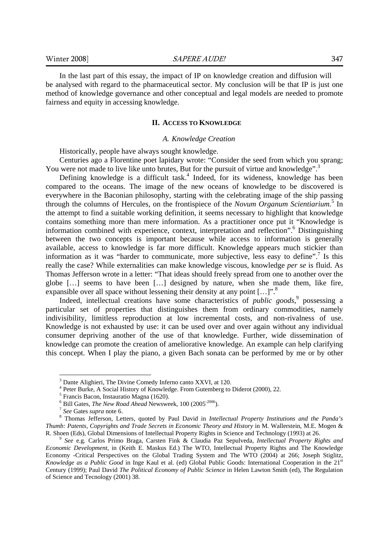In the last part of this essay, the impact of IP on knowledge creation and diffusion will be analysed with regard to the pharmaceutical sector. My conclusion will be that IP is just one method of knowledge governance and other conceptual and legal models are needed to promote fairness and equity in accessing knowledge.

#### **II. ACCESS TO KNOWLEDGE**

#### *A. Knowledge Creation*

Historically, people have always sought knowledge.

Centuries ago a Florentine poet lapidary wrote: "Consider the seed from which you sprang; You were not made to live like unto brutes, But for the pursuit of virtue and knowledge".<sup>3</sup>

Defining knowledge is a difficult task.<sup>4</sup> Indeed, for its wideness, knowledge has been compared to the oceans. The image of the new oceans of knowledge to be discovered is everywhere in the Baconian philosophy, starting with the celebrating image of the ship passing through the columns of Hercules, on the frontispiece of the *Novum Organum Scientiarium.*<sup>5</sup> In the attempt to find a suitable working definition, it seems necessary to highlight that knowledge contains something more than mere information. As a practitioner once put it "Knowledge is information combined with experience, context, interpretation and reflection".<sup>6</sup> Distinguishing between the two concepts is important because while access to information is generally available, access to knowledge is far more difficult. Knowledge appears much stickier than information as it was "harder to communicate, more subjective, less easy to define".<sup>7</sup> Is this really the case? While externalities can make knowledge viscous, knowledge *per se* is fluid. As Thomas Jefferson wrote in a letter: "That ideas should freely spread from one to another over the globe […] seems to have been […] designed by nature, when she made them, like fire, expansible over all space without lessening their density at any point  $[...]$ .

Indeed, intellectual creations have some characteristics of *public goods*,<sup>9</sup> possessing a particular set of properties that distinguishes them from ordinary commodities, namely indivisibility, limitless reproduction at low incremental costs, and non-rivalness of use. Knowledge is not exhausted by use: it can be used over and over again without any individual consumer depriving another of the use of that knowledge. Further, wide dissemination of knowledge can promote the creation of ameliorative knowledge. An example can help clarifying this concept. When I play the piano, a given Bach sonata can be performed by me or by other

<sup>&</sup>lt;sup>3</sup> Dante Alighieri, The Divine Comedy Inferno canto XXVI, at 120.

<sup>4</sup> Peter Burke, A Social History of Knowledge. From Gutemberg to Diderot (2000), 22.

<sup>5</sup> Francis Bacon, Instauratio Magna (1620).

<sup>&</sup>lt;sup>6</sup> Bill Gates, *The New Road Ahead* Newsweek, 100 (2005<sup>-2006</sup>).<br><sup>7</sup> *See* Gates *supra* note 6. 8 Thomas Isfforson I attace, quoted by Baul David in Intel

Thomas Jefferson, Letters, quoted by Paul David in *Intellectual Property Institutions and the Panda's Thumb: Patents, Copyrights and Trade Secrets in Economic Theory and History* in M. Wallerstein, M.E. Mogen & R. Shoen (Eds), Global Dimensions of Intellectual Property Rights in Science and Technology (1993) at 26. 9 *See* e.g. Carlos Primo Braga, Carsten Fink & Claudia Paz Sepulveda, *Intellectual Property Rights and* 

*Economic Development*, in (Keith E. Maskus Ed.) The WTO, Intellectual Property Rights and The Knowledge Economy -Critical Perspectives on the Global Trading System and The WTO (2004) at 266; Joseph Stiglitz, *Knowledge as a Public Good* in Inge Kaul et al. (ed) Global Public Goods: International Cooperation in the 21<sup>st</sup> Century (1999); Paul David *The Political Economy of Public Science* in Helen Lawton Smith (ed), The Regulation of Science and Tecnology (2001) 38.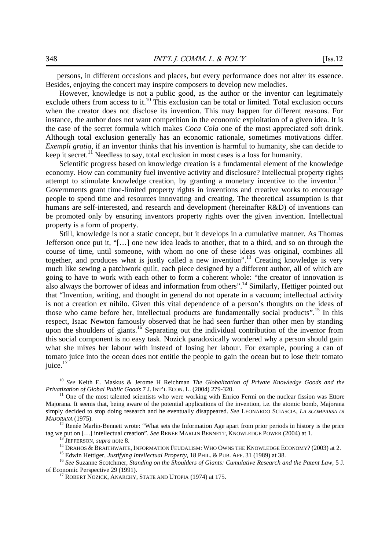persons, in different occasions and places, but every performance does not alter its essence. Besides, enjoying the concert may inspire composers to develop new melodies.

However, knowledge is not a public good, as the author or the inventor can legitimately exclude others from access to it.<sup>10</sup> This exclusion can be total or limited. Total exclusion occurs when the creator does not disclose its invention. This may happen for different reasons. For instance, the author does not want competition in the economic exploitation of a given idea. It is the case of the secret formula which makes *Coca Cola* one of the most appreciated soft drink. Although total exclusion generally has an economic rationale, sometimes motivations differ. *Exempli gratia*, if an inventor thinks that his invention is harmful to humanity, she can decide to keep it secret.<sup>11</sup> Needless to say, total exclusion in most cases is a loss for humanity.

Scientific progress based on knowledge creation is a fundamental element of the knowledge economy. How can community fuel inventive activity and disclosure? Intellectual property rights attempt to stimulate knowledge creation, by granting a monetary incentive to the inventor.<sup>12</sup> Governments grant time-limited property rights in inventions and creative works to encourage people to spend time and resources innovating and creating. The theoretical assumption is that humans are self-interested, and research and development (hereinafter R&D) of inventions can be promoted only by ensuring inventors property rights over the given invention. Intellectual property is a form of property.

Still, knowledge is not a static concept, but it develops in a cumulative manner. As Thomas Jefferson once put it, "[…] one new idea leads to another, that to a third, and so on through the course of time, until someone, with whom no one of these ideas was original, combines all together, and produces what is justly called a new invention".<sup>13</sup> Creating knowledge is very much like sewing a patchwork quilt, each piece designed by a different author, all of which are going to have to work with each other to form a coherent whole: "the creator of innovation is also always the borrower of ideas and information from others".<sup>14</sup> Similarly, Hettiger pointed out that "Invention, writing, and thought in general do not operate in a vacuum; intellectual activity is not a creation ex nihilo. Given this vital dependence of a person's thoughts on the ideas of those who came before her, intellectual products are fundamentally social products".<sup>15</sup> In this respect, Isaac Newton famously observed that he had seen further than other men by standing upon the shoulders of giants.<sup>16</sup> Separating out the individual contribution of the inventor from this social component is no easy task. Nozick paradoxically wondered why a person should gain what she mixes her labour with instead of losing her labour. For example, pouring a can of tomato juice into the ocean does not entitle the people to gain the ocean but to lose their tomato juice.<sup>17</sup>

<sup>10</sup> *See* Keith E. Maskus & Jerome H Reichman *The Globalization of Private Knowledge Goods and the Privatization of Global Public Goods* 7 J. INT'L ECON. L. (2004) 279-320.<br><sup>11</sup> One of the most talented scientists who were working with Enrico Fermi on the nuclear fission was Ettore

Majorana. It seems that, being aware of the potential applications of the invention, i.e. the atomic bomb, Majorana simply decided to stop doing research and he eventually disappeared. *See* LEONARDO SCIASCIA, *LA SCOMPARSA DI* 

*MAJORANA* (1975).<br><sup>12</sup> Renée Marlin-Bennett wrote: "What sets the Information Age apart from prior periods in history is the price tag we put on [...] intellectual creation". *See RENÉE MARLIN BENNETT*, KNOWLEDGE POWER (2004) at 1.<br><sup>13</sup> JEFFERSON, *supra* note 8.<br><sup>14</sup> DRAHOS & BRAITHWAITE, INFORMATION FEUDALISM: WHO OWNS THE KNOWLEDGE ECONOMY? (2003)

of Economic Perspective 29 (1991). 17 ROBERT NOZICK, ANARCHY, STATE AND UTOPIA (1974) at 175.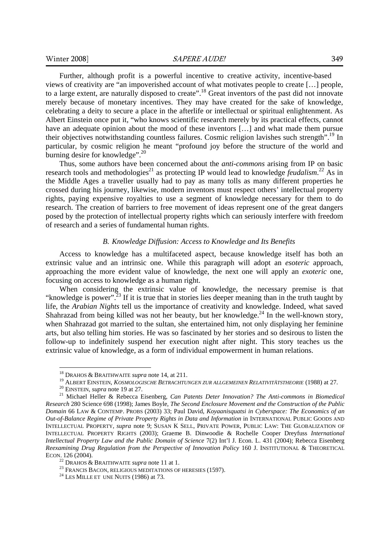Further, although profit is a powerful incentive to creative activity, incentive-based views of creativity are "an impoverished account of what motivates people to create […] people, to a large extent, are naturally disposed to create".18 Great inventors of the past did not innovate merely because of monetary incentives. They may have created for the sake of knowledge, celebrating a deity to secure a place in the afterlife or intellectual or spiritual enlightenment. As Albert Einstein once put it, "who knows scientific research merely by its practical effects, cannot have an adequate opinion about the mood of these inventors [...] and what made them pursue their objectives notwithstanding countless failures. Cosmic religion lavishes such strength".<sup>19</sup> In particular, by cosmic religion he meant "profound joy before the structure of the world and burning desire for knowledge". $^{20}$ 

Thus, some authors have been concerned about the *anti-commons* arising from IP on basic research tools and methodologies<sup>21</sup> as protecting IP would lead to knowledge *feudalism*.<sup>22</sup> As in the Middle Ages a traveller usually had to pay as many tolls as many different properties he crossed during his journey, likewise, modern inventors must respect others' intellectual property rights, paying expensive royalties to use a segment of knowledge necessary for them to do research. The creation of barriers to free movement of ideas represent one of the great dangers posed by the protection of intellectual property rights which can seriously interfere with freedom of research and a series of fundamental human rights.

## *B. Knowledge Diffusion: Access to Knowledge and Its Benefits*

Access to knowledge has a multifaceted aspect, because knowledge itself has both an extrinsic value and an intrinsic one. While this paragraph will adopt an *esoteric* approach, approaching the more evident value of knowledge, the next one will apply an *exoteric* one, focusing on access to knowledge as a human right.

When considering the extrinsic value of knowledge, the necessary premise is that "knowledge is power".<sup>23</sup> If it is true that in stories lies deeper meaning than in the truth taught by life, the *Arabian Nights* tell us the importance of creativity and knowledge. Indeed, what saved Shahrazad from being killed was not her beauty, but her knowledge.<sup>24</sup> In the well-known story, when Shahrazad got married to the sultan, she entertained him, not only displaying her feminine arts, but also telling him stories. He was so fascinated by her stories and so desirous to listen the follow-up to indefinitely suspend her execution night after night. This story teaches us the extrinsic value of knowledge, as a form of individual empowerment in human relations.

<sup>&</sup>lt;sup>18</sup> DRAHOS & BRAITHWAITE *supra* note 14, at 211.<br><sup>19</sup> ALBERT EINSTEIN, *KOSMOLOGISCHE BETRACHTUNGEN ZUR ALLGEMEINEN RELATIVITÄTSTHEORIE* (1988) at 27.<br><sup>20</sup> EINSTEIN, *supra* note 19 at 27.<br><sup>21</sup> Michael Heller & Rebecca *Research* 280 Science 698 (1998); James Boyle, *The Second Enclosure Movement and the Construction of the Public Domain* 66 LAW & CONTEMP. PROBS (2003) 33; Paul David, *Koyaanisquatsi in Cyberspace: The Economics of an Out-of-Balance Regime of Private Property Rights in Data and Information* in INTERNATIONAL PUBLIC GOODS AND INTELLECTUAL PROPERTY, *supra* note 9; SUSAN K SELL, PRIVATE POWER, PUBLIC LAW: THE GLOBALIZATION OF INTELLECTUAL PROPERTY RIGHTS (2003); Graeme B. Dinwoodie & Rochelle Cooper Dreyfuss *International Intellectual Property Law and the Public Domain of Science* 7(2) Int'l J. Econ. L. 431 (2004); Rebecca Eisenberg *Reexamining Drug Regulation from the Perspective of Innovation Policy* 160 J. INSTITUTIONAL & THEORETICAL ECON. 126 (2004). <sup>22</sup> DRAHOS & BRAITHWAITE *supra* note 11 at 1.<br><sup>23</sup> FRANCIS BACON, RELIGIOUS MEDITATIONS OF HERESIES (1597).<br><sup>24</sup> LES MILLE ET UNE NUITS (1986) at 73.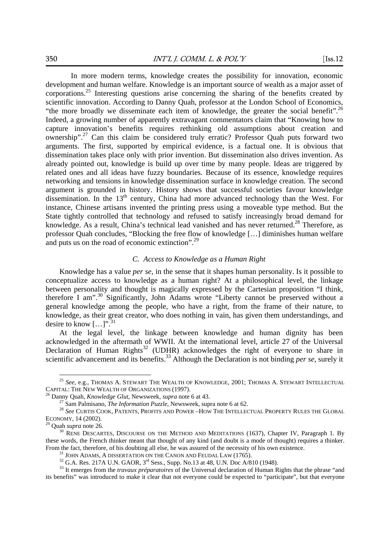In more modern terms, knowledge creates the possibility for innovation, economic development and human welfare. Knowledge is an important source of wealth as a major asset of corporations.<sup>25</sup> Interesting questions arise concerning the sharing of the benefits created by scientific innovation. According to Danny Quah, professor at the London School of Economics, "the more broadly we disseminate each item of knowledge, the greater the social benefit".<sup>26</sup> Indeed, a growing number of apparently extravagant commentators claim that "Knowing how to capture innovation's benefits requires rethinking old assumptions about creation and ownership".27 Can this claim be considered truly erratic? Professor Quah puts forward two arguments. The first, supported by empirical evidence, is a factual one. It is obvious that dissemination takes place only with prior invention. But dissemination also drives invention. As already pointed out, knowledge is build up over time by many people. Ideas are triggered by related ones and all ideas have fuzzy boundaries. Because of its essence, knowledge requires networking and tensions in knowledge dissemination surface in knowledge creation. The second argument is grounded in history. History shows that successful societies favour knowledge dissemination. In the 13<sup>th</sup> century, China had more advanced technology than the West. For instance, Chinese artisans invented the printing press using a moveable type method. But the State tightly controlled that technology and refused to satisfy increasingly broad demand for knowledge. As a result, China's technical lead vanished and has never returned.<sup>28</sup> Therefore, as professor Quah concludes, "Blocking the free flow of knowledge […] diminishes human welfare and puts us on the road of economic extinction".29

## *C. Access to Knowledge as a Human Right*

Knowledge has a value *per se*, in the sense that it shapes human personality. Is it possible to conceptualize access to knowledge as a human right? At a philosophical level, the linkage between personality and thought is magically expressed by the Cartesian proposition "I think, therefore I am".30 Significantly, John Adams wrote "Liberty cannot be preserved without a general knowledge among the people, who have a right, from the frame of their nature, to knowledge, as their great creator, who does nothing in vain, has given them understandings, and desire to know  $[\dots]$ ".<sup>31</sup>

At the legal level, the linkage between knowledge and human dignity has been acknowledged in the aftermath of WWII. At the international level, article 27 of the Universal Declaration of Human Rights<sup>32</sup> (UDHR) acknowledges the right of everyone to share in scientific advancement and its benefits.<sup>33</sup> Although the Declaration is not binding *per se*, surely it

 $^{25}$   $See,$ e.g., Thomas A. Stewart The Wealth of Knowledge, 2001; Thomas A. Stewart Intellectual Capital: The New Wealth of Organizations (1997).

<sup>&</sup>lt;sup>26</sup> Danny Quah, *Knowledge Glut*, Newsweek, *supra* note 6 at 43.<br><sup>27</sup> Sam Palmisano, *The Information Puzzle*, Newsweek, supra note 6 at 62.<br><sup>28</sup> See CURTIS COOK, PATENTS, PROFITS AND POWER –HOW THE INTELLECTUAL PROPERT ECONOMY, 14 (2002).<br><sup>29</sup> Quah *supra* note 26.<br><sup>30</sup> RENE DESCARTES, DISCOURSE ON THE METHOD AND MEDITATIONS (1637), Chapter IV, Paragraph 1. By

these words, the French thinker meant that thought of any kind (and doubt is a mode of thought) requires a thinker. From the fact, therefore, of his doubting all else, he was assured of the necessity of his own existence.<br><sup>31</sup> JOHN ADAMS, A DISSERTATION ON THE CANON AND FEUDAL LAW (1765).<br><sup>32</sup> G.A. Res. 217A U.N. GAOR, 3<sup>rd</sup> Sess., Sup

its benefits" was introduced to make it clear that not everyone could be expected to "participate", but that everyone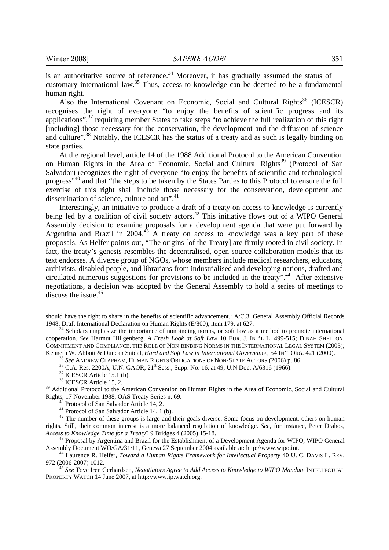is an authoritative source of reference.<sup>34</sup> Moreover, it has gradually assumed the status of customary international law.35 Thus, access to knowledge can be deemed to be a fundamental human right.

Also the International Covenant on Economic, Social and Cultural Rights<sup>36</sup> (ICESCR) recognises the right of everyone "to enjoy the benefits of scientific progress and its applications", $37$  requiring member States to take steps "to achieve the full realization of this right [including] those necessary for the conservation, the development and the diffusion of science and culture".<sup>38</sup> Notably, the ICESCR has the status of a treaty and as such is legally binding on state parties.

At the regional level, article 14 of the 1988 Additional Protocol to the American Convention on Human Rights in the Area of Economic, Social and Cultural Rights<sup>39</sup> (Protocol of San Salvador) recognizes the right of everyone "to enjoy the benefits of scientific and technological progress"40 and that "the steps to be taken by the States Parties to this Protocol to ensure the full exercise of this right shall include those necessary for the conservation, development and dissemination of science, culture and art".<sup>41</sup>

Interestingly, an initiative to produce a draft of a treaty on access to knowledge is currently being led by a coalition of civil society actors.<sup>42</sup> This initiative flows out of a WIPO General Assembly decision to examine proposals for a development agenda that were put forward by Argentina and Brazil in  $2004<sup>43</sup>$  A treaty on access to knowledge was a key part of these proposals. As Helfer points out, "The origins [of the Treaty] are firmly rooted in civil society. In fact, the treaty's genesis resembles the decentralised, open source collaboration models that its text endorses. A diverse group of NGOs, whose members include medical researchers, educators, archivists, disabled people, and librarians from industrialised and developing nations, drafted and circulated numerous suggestions for provisions to be included in the treaty".<sup>44</sup> After extensive negotiations, a decision was adopted by the General Assembly to hold a series of meetings to discuss the issue.<sup>45</sup>

<sup>39</sup> Additional Protocol to the American Convention on Human Rights in the Area of Economic, Social and Cultural Rights, 17 November 1988, OAS Treaty Series n. 69. 40 Protocol of San Salvador Article 14, 2.

41 Protocol of San Salvador Article 14, 1 (b).

<sup>42</sup> The number of these groups is large and their goals diverse. Some focus on development, others on human rights. Still, their common interest is a more balanced regulation of knowledge. *See*, for instance, Peter Drahos, *Access to Knowledge Time for a Treaty*? 9 Bridges 4 (2005) 15-18. 43 Proposal by Argentina and Brazil for the Establishment of a Development Agenda for WIPO, WIPO General

Assembly Document WO/GA/31/11, Geneva 27 September 2004 available at: http://www.wipo.int. 44 Laurence R. Helfer, *Toward a Human Rights Framework for Intellectual Property* 40 U. C. DAVIS L. REV.

972 (2006-2007) 1012. 45 *See* Tove Iren Gerhardsen, *Negotiators Agree to Add Access to Knowledge to WIPO Mandate* INTELLECTUAL

PROPERTY WATCH 14 June 2007, at http://www.ip.watch.org.

should have the right to share in the benefits of scientific advancement.: A/C.3, General Assembly Official Records 1948: Draft International Declaration on Human Rights (E/800), item 179, at 627.<br><sup>34</sup> Scholars emphasize the importance of nonbinding norms, or soft law as a method to promote international

cooperation. *See* Harmut Hillgenberg, *A Fresh Look at Soft Law* 10 EUR. J. INT'L L. 499-515; DINAH SHELTON, COMMITMENT AND COMPLIANCE: THE ROLE OF NON-BINDING NORMS IN THE INTERNATIONAL LEGAL SYSTEM (2003); Kenneth W. Abbott & Duncan Snidal, *Hard and Soft Law in International Governance*, 54 IN'L ORG. 421 (2000).<br><sup>35</sup> See ANDREW CLAPHAM, HUMAN RIGHTS OBLIGATIONS OF NON-STATE ACTORS (2006) p. 86.<br><sup>36</sup> G.A. Res. 2200A, U.N. G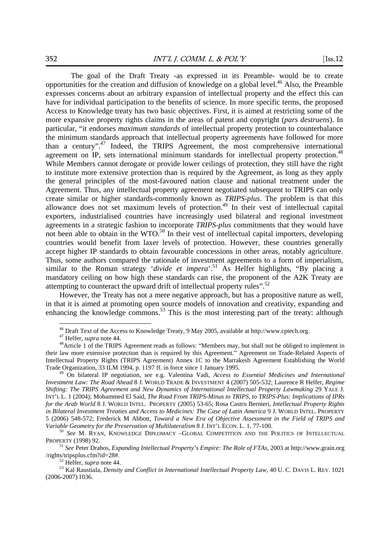The goal of the Draft Treaty -as expressed in its Preamble- would be to create opportunities for the creation and diffusion of knowledge on a global level.<sup>46</sup> Also, the Preamble expresses concerns about an arbitrary expansion of intellectual property and the effect this can have for individual participation to the benefits of science. In more specific terms, the proposed Access to Knowledge treaty has two basic objectives. First, it is aimed at restricting some of the more expansive property rights claims in the areas of patent and copyright (*pars destruens*). In particular, "it endorses *maximum standards* of intellectual property protection to counterbalance the minimum standards approach that intellectual property agreements have followed for more than a century".47 Indeed, the TRIPS Agreement, the most comprehensive international agreement on IP, sets international minimum standards for intellectual property protection.<sup>48</sup> While Members cannot derogate or provide lower ceilings of protection, they still have the right to institute more extensive protection than is required by the Agreement, as long as they apply the general principles of the most-favoured nation clause and national treatment under the Agreement. Thus, any intellectual property agreement negotiated subsequent to TRIPS can only create similar or higher standards-commonly known as *TRIPS-plus*. The problem is that this allowance does not set maximum levels of protection.<sup>49</sup> In their vest of intellectual capital exporters, industrialised countries have increasingly used bilateral and regional investment agreements in a strategic fashion to incorporate *TRIPS-plus* commitments that they would have not been able to obtain in the WTO.<sup>50</sup> In their vest of intellectual capital importers, developing countries would benefit from laxer levels of protection. However, these countries generally accept higher IP standards to obtain favourable concessions in other areas, notably agriculture. Thus, some authors compared the rationale of investment agreements to a form of imperialism, similar to the Roman strategy '*divide et impera*'.<sup>51</sup> As Helfer highlights, "By placing a mandatory ceiling on how high these standards can rise, the proponent of the A2K Treaty are attempting to counteract the upward drift of intellectual property rules".<sup>52</sup>

However, the Treaty has not a mere negative approach, but has a propositive nature as well, in that it is aimed at promoting open source models of innovation and creativity, expanding and enhancing the knowledge commons.<sup>53</sup> This is the most interesting part of the treaty: although

<sup>&</sup>lt;sup>46</sup> Draft Text of the Access to Knowledge Treaty, 9 May 2005, available at http://www.cptech.org.

<sup>&</sup>lt;sup>47</sup> Helfer, *supra* note 44.<br><sup>48</sup> Article 1 of the TRIPS Agreement reads as follows: "Members may, but shall not be obliged to implement in their law more extensive protection than is required by this Agreement." Agreement on Trade-Related Aspects of Intellectual Property Rights (TRIPS Agreement) Annex 1C to the Marrakesh Agreement Establishing the World Trade Organization, 33 ILM 1994, p. 1197 ff. in force since 1 January 1995.

<sup>&</sup>lt;sup>49</sup> On bilateral IP negotiation, see e.g. Valentina Vadi, *Access to Essential Medicines and International Investment Law: The Road Ahead* 8 J. WORLD TRADE & INVESTMENT 4 (2007) 505-532; Laurence R Helfer, *Regime Shifting: The TRIPS Agreement and New Dynamics of International Intellectual Property Lawmaking* 29 YALE J. INT'L L. 1 (2004); Mohammed El Said, *The Road From TRIPS-Minus to TRIPS, to TRIPS-Plus: Implications of IPRs for the Arab World* 8 J. WORLD INTEL. PROPERTY (2005) 53-65; Rosa Castro Bernieri, *Intellectual Property Rights in Bilateral Investment Treaties and Access to Medicines: The Case of Latin America* 9 J. WORLD INTEL. PROPERTY 5 (2006) 548-572; Frederick M Abbott, *Toward a New Era of Objective Assessment in the Field of TRIPS and Variable Geometry for the Preservation of Multilateralism* 8 J. INT'L ECON. L. 1, 77-100.<br><sup>50</sup> *See* M. RYAN, KNOWLEDGE DIPLOMACY –GLOBAL COMPETITION AND THE POLITICS OF INTELLECTUAL

PROPERTY (1998) 92. 51 *See* Peter Drahos, *Expanding Intellectual Property's Empire: The Role of FTAs*, 2003 at http://www.grain.org

<sup>/</sup>rights/tripsplus.cfm?id=28#. 52 Helfer, *supra* note 44. 53 Kal Raustiala, *Density and Conflict in International Intellectual Property Law*, <sup>40</sup> U. C. DAVIS L. REV. <sup>1021</sup>

<sup>(2006-2007)</sup> 1036.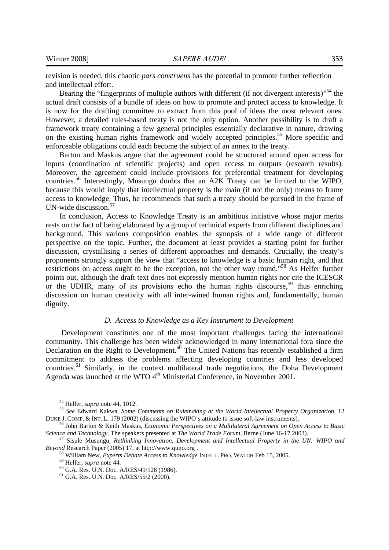revision is needed, this chaotic *pars construens* has the potential to promote further reflection and intellectual effort.

Bearing the "fingerprints of multiple authors with different (if not divergent interests)"<sup>54</sup> the actual draft consists of a bundle of ideas on how to promote and protect access to knowledge. It is now for the drafting committee to extract from this pool of ideas the most relevant ones. However, a detailed rules-based treaty is not the only option. Another possibility is to draft a framework treaty containing a few general principles essentially declarative in nature, drawing on the existing human rights framework and widely accepted principles.<sup>55</sup> More specific and enforceable obligations could each become the subject of an annex to the treaty.

Barton and Maskus argue that the agreement could be structured around open access for inputs (coordination of scientific projects) and open access to outputs (research results). Moreover, the agreement could include provisions for preferential treatment for developing countries.56 Interestingly, Musungu doubts that an A2K Treaty can be limited to the WIPO, because this would imply that intellectual property is the main (if not the only) means to frame access to knowledge. Thus, he recommends that such a treaty should be pursued in the frame of UN-wide discussion.57

In conclusion, Access to Knowledge Treaty is an ambitious initiative whose major merits rests on the fact of being elaborated by a group of technical experts from different disciplines and background. This various composition enables the synopsis of a wide range of different perspective on the topic. Further, the document at least provides a starting point for further discussion, crystallising a series of different approaches and demands. Crucially, the treaty's proponents strongly support the view that "access to knowledge is a basic human right, and that restrictions on access ought to be the exception, not the other way round."58 As Helfer further points out, although the draft text does not expressly mention human rights nor cite the ICESCR or the UDHR, many of its provisions echo the human rights discourse,  $59$  thus enriching discussion on human creativity with all inter-wined human rights and, fundamentally, human dignity.

## *D. Access to Knowledge as a Key Instrument to Development*

Development constitutes one of the most important challenges facing the international community. This challenge has been widely acknowledged in many international fora since the Declaration on the Right to Development.<sup>60</sup> The United Nations has recently established a firm commitment to address the problems affecting developing countries and less developed countries.<sup>61</sup> Similarly, in the context multilateral trade negotiations, the Doha Development Agenda was launched at the WTO 4<sup>th</sup> Ministerial Conference, in November 2001.

<sup>&</sup>lt;sup>54</sup> Helfer, *supra* note 44, 1012.<br><sup>55</sup> *See* Edward Kakwa, *Some Comments on Rulemaking at the World Intellectual Property Organization, 12* DUKE J. COMP. & INT. L. 179 (2002) (discussing the WIPO's attitude to issue soft-law instruments). 56 John Barton & Keith Maskus, *Economic Perspectives on a Multilateral Agreement on Open Access to Basic* 

*Science and Technology*. The speakers presented at *The World Trade Forum*, Berne (June 16-17 2003). 57 Sisule Musungu, *Rethinking Innovation, Development and Intellectual Property in the UN: WIPO and* 

*Beyond* Research Paper (2005) 17, at http://www.quno.org .<br><sup>58</sup> William New, *Experts Debate Access to Knowledge* INTELL. PRO. WATCH Feb 15, 2005.<br><sup>59</sup> Helfer, *supra* note 44.<br><sup>60</sup> G.A. Res. U.N. Doc. A/RES/41/128 (1986)

<sup>61</sup> G.A. Res. U.N. Doc. A/RES/55/2 (2000).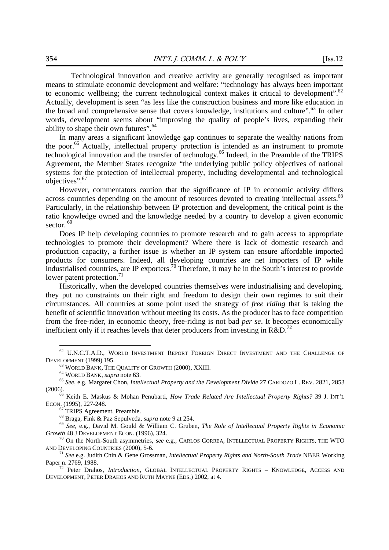Technological innovation and creative activity are generally recognised as important means to stimulate economic development and welfare: "technology has always been important to economic wellbeing; the current technological context makes it critical to development".<sup>62</sup> Actually, development is seen "as less like the construction business and more like education in the broad and comprehensive sense that covers knowledge, institutions and culture".<sup>63</sup> In other words, development seems about "improving the quality of people's lives, expanding their ability to shape their own futures".<sup>64</sup>

In many areas a significant knowledge gap continues to separate the wealthy nations from the poor.<sup>65</sup> Actually, intellectual property protection is intended as an instrument to promote technological innovation and the transfer of technology.66 Indeed, in the Preamble of the TRIPS Agreement, the Member States recognize "the underlying public policy objectives of national systems for the protection of intellectual property, including developmental and technological objectives".67

However, commentators caution that the significance of IP in economic activity differs across countries depending on the amount of resources devoted to creating intellectual assets.<sup>68</sup> Particularly, in the relationship between IP protection and development, the critical point is the ratio knowledge owned and the knowledge needed by a country to develop a given economic sector.<sup>69</sup>

Does IP help developing countries to promote research and to gain access to appropriate technologies to promote their development? Where there is lack of domestic research and production capacity, a further issue is whether an IP system can ensure affordable imported products for consumers. Indeed, all developing countries are net importers of IP while industrialised countries, are IP exporters.70 Therefore, it may be in the South's interest to provide lower patent protection. $71$ 

Historically, when the developed countries themselves were industrialising and developing, they put no constraints on their right and freedom to design their own regimes to suit their circumstances. All countries at some point used the strategy of *free riding* that is taking the benefit of scientific innovation without meeting its costs. As the producer has to face competition from the free-rider, in economic theory, free-riding is not bad *per se*. It becomes economically inefficient only if it reaches levels that deter producers from investing in R&D.<sup>72</sup>

 $\overline{a}$ 

 $^{67}$  TRIPS Agreement, Preamble.<br> $^{68}$  Braga, Fink & Paz Sepulveda, *supra* note 9 at 254.

<sup>69</sup> See, e.g., David M. Gould & William C. Gruben, *The Role of Intellectual Property Rights in Economic Growth* 48 J DEVELOPMENT ECON. (1996), 324.<br><sup>70</sup> On the North-South asymmetries, *see* e.g., CARLOS CORREA, INTELLECTUAL PROPERTY RIGHTS, THE WTO

AND DEVELOPING COUNTRIES (2000), 5-6. 71 *See* e.g. Judith Chin & Gene Grossman, *Intellectual Property Rights and North-South Trade* NBER Working

<sup>&</sup>lt;sup>62</sup> U.N.C.T.A.D., WORLD INVESTMENT REPORT FOREIGN DIRECT INVESTMENT AND THE CHALLENGE OF DEVELOPMENT (1999) 195.<br><sup>63</sup> WORLD BANK, THE QUALITY OF GROWTH (2000), XXIII.<br><sup>64</sup> WORLD BANK, *supra* note 63.<br><sup>65</sup> See, e.g. Margaret Chon, *Intellectual Property and the Development Divide* 27 CARDOZO L. REV. 2821, 2853

<sup>(2006). 66</sup> Keith E. Maskus & Mohan Penubarti, *How Trade Related Are Intellectual Property Rights?* 39 J. INT'L

ECON. (1995), 227-248.

Paper n. 2769, 1988.<br><sup>72</sup> Peter Drahos, *Introduction*, GLOBAL INTELLECTUAL PROPERTY RIGHTS – KNOWLEDGE, ACCESS AND

DEVELOPMENT, PETER DRAHOS AND RUTH MAYNE (EDS.) 2002, at 4.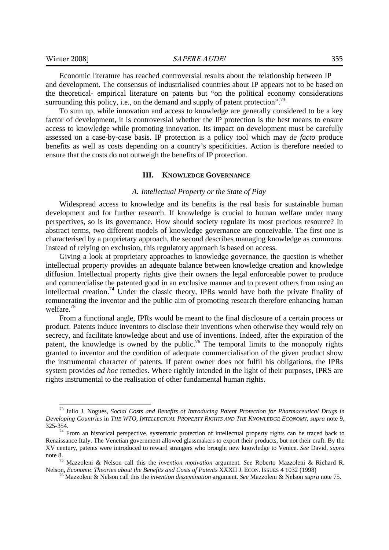-

Economic literature has reached controversial results about the relationship between IP and development. The consensus of industrialised countries about IP appears not to be based on the theoretical- empirical literature on patents but "on the political economy considerations surrounding this policy, i.e., on the demand and supply of patent protection".<sup>73</sup>

To sum up, while innovation and access to knowledge are generally considered to be a key factor of development, it is controversial whether the IP protection is the best means to ensure access to knowledge while promoting innovation. Its impact on development must be carefully assessed on a case-by-case basis. IP protection is a policy tool which may *de facto* produce benefits as well as costs depending on a country's specificities. Action is therefore needed to ensure that the costs do not outweigh the benefits of IP protection.

#### **III. KNOWLEDGE GOVERNANCE**

#### *A. Intellectual Property or the State of Play*

Widespread access to knowledge and its benefits is the real basis for sustainable human development and for further research. If knowledge is crucial to human welfare under many perspectives, so is its governance. How should society regulate its most precious resource? In abstract terms, two different models of knowledge governance are conceivable. The first one is characterised by a proprietary approach, the second describes managing knowledge as commons. Instead of relying on exclusion, this regulatory approach is based on access.

Giving a look at proprietary approaches to knowledge governance, the question is whether intellectual property provides an adequate balance between knowledge creation and knowledge diffusion. Intellectual property rights give their owners the legal enforceable power to produce and commercialise the patented good in an exclusive manner and to prevent others from using an intellectual creation.<sup>74</sup> Under the classic theory, IPRs would have both the private finality of remunerating the inventor and the public aim of promoting research therefore enhancing human welfare.<sup>75</sup>

From a functional angle, IPRs would be meant to the final disclosure of a certain process or product. Patents induce inventors to disclose their inventions when otherwise they would rely on secrecy, and facilitate knowledge about and use of inventions. Indeed, after the expiration of the patent, the knowledge is owned by the public.<sup>76</sup> The temporal limits to the monopoly rights granted to inventor and the condition of adequate commercialisation of the given product show the instrumental character of patents. If patent owner does not fulfil his obligations, the IPRs system provides *ad hoc* remedies. Where rightly intended in the light of their purposes, IPRS are rights instrumental to the realisation of other fundamental human rights.

<sup>73</sup> Julio J. Nogués, *Social Costs and Benefits of Introducing Patent Protection for Pharmaceutical Drugs in Developing Countries* in *THE WTO, INTELLECTUAL PROPERTY RIGHTS AND THE KNOWLEDGE ECONOMY*, *supra* note 9,  $325-354$ .<br><sup>74</sup> From an historical perspective, systematic protection of intellectual property rights can be traced back to

Renaissance Italy. The Venetian government allowed glassmakers to export their products, but not their craft. By the XV century, patents were introduced to reward strangers who brought new knowledge to Venice. *See* David, *supra* note 8. 75 Mazzoleni & Nelson call this the *invention motivation* argument. *See* Roberto Mazzoleni & Richard R.

Nelson, *Economic Theories about the Benefits and Costs of Patents XXXII J.* ECON. ISSUES 4 1032 (1998)<br><sup>76</sup> Mazzoleni & Nelson call this the *invention dissemination* argument. *See Mazzoleni & Nelson supra* note 75.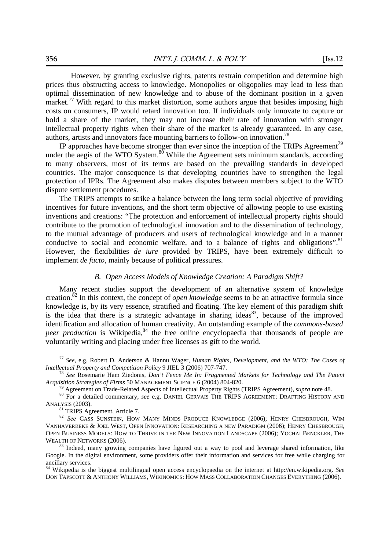However, by granting exclusive rights, patents restrain competition and determine high prices thus obstructing access to knowledge. Monopolies or oligopolies may lead to less than optimal dissemination of new knowledge and to abuse of the dominant position in a given market.<sup>77</sup> With regard to this market distortion, some authors argue that besides imposing high costs on consumers, IP would retard innovation too. If individuals only innovate to capture or hold a share of the market, they may not increase their rate of innovation with stronger intellectual property rights when their share of the market is already guaranteed. In any case, authors, artists and innovators face mounting barriers to follow-on innovation.78

IP approaches have become stronger than ever since the inception of the TRIPs Agreement<sup>79</sup> under the aegis of the WTO System. $80^{\circ}$  While the Agreement sets minimum standards, according to many observers, most of its terms are based on the prevailing standards in developed countries. The major consequence is that developing countries have to strengthen the legal protection of IPRs. The Agreement also makes disputes between members subject to the WTO dispute settlement procedures.

The TRIPS attempts to strike a balance between the long term social objective of providing incentives for future inventions, and the short term objective of allowing people to use existing inventions and creations: "The protection and enforcement of intellectual property rights should contribute to the promotion of technological innovation and to the dissemination of technology, to the mutual advantage of producers and users of technological knowledge and in a manner conducive to social and economic welfare, and to a balance of rights and obligations".<sup>81</sup> However, the flexibilities *de iure* provided by TRIPS, have been extremely difficult to implement *de facto*, mainly because of political pressures.

## *B. Open Access Models of Knowledge Creation: A Paradigm Shift?*

Many recent studies support the development of an alternative system of knowledge creation.82 In this context, the concept of *open knowledge* seems to be an attractive formula since knowledge is, by its very essence, stratified and floating. The key element of this paradigm shift is the idea that there is a strategic advantage in sharing ideas<sup>83</sup>, because of the improved identification and allocation of human creativity. An outstanding example of the *commons-based peer production* is Wikipedia,<sup>84</sup> the free online encyclopaedia that thousands of people are voluntarily writing and placing under free licenses as gift to the world.

<sup>77</sup> *See*, e.g, Robert D. Anderson & Hannu Wager, *Human Rights, Development, and the WTO: The Cases of* 

<sup>&</sup>lt;sup>78</sup> See Rosemarie Ham Ziedonis, *Don't Fence Me In: Fragmented Markets for Technology and The Patent Acquisition Strategies of Firms 50 MANAGEMENT SCIENCE 6 (2004) 804-820.* 

<sup>&</sup>lt;sup>79</sup> Agreement on Trade-Related Aspects of Intellectual Property Rights (TRIPS Agreement), *supra* note 48.<br><sup>80</sup> For a detailed commentary, *see* e.g. DANIEL GERVAIS THE TRIPS AGREEMENT: DRAFTING HISTORY AND ANALYSIS (2003).<br><sup>81</sup> TRIPS Agreement, Article 7.

<sup>82</sup> See CASS SUNSTEIN, HOW MANY MINDS PRODUCE KNOWLEDGE (2006); HENRY CHESBROUGH, WIM VANHAVERBEKE & JOEL WEST, OPEN INNOVATION: RESEARCHING A NEW PARADIGM (2006); HENRY CHESBROUGH, OPEN BUSINESS MODELS: HOW TO THRIVE IN THE NEW INNOVATION LANDSCAPE (2006); YOCHAI BENCKLER, THE WEALTH OF NETWORKS (2006).<br><sup>83</sup> Indeed, many growing companies have figured out a way to pool and leverage shared information, like

Google. In the digital environment, some providers offer their information and services for free while charging for ancillary services.

<sup>84</sup> Wikipedia is the biggest multilingual open access encyclopaedia on the internet at http://en.wikipedia.org. *See* DON TAPSCOTT & ANTHONY WILLIAMS, WIKINOMICS: HOW MASS COLLABORATION CHANGES EVERYTHING (2006).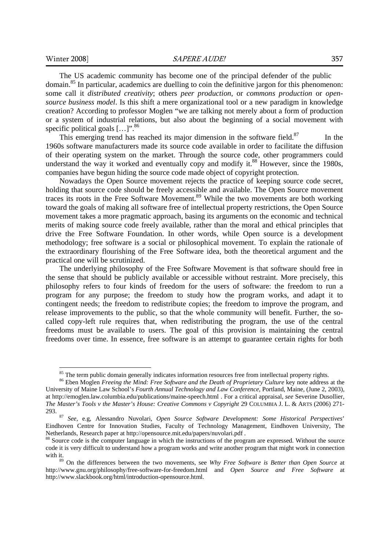-

The US academic community has become one of the principal defender of the public domain.<sup>85</sup> In particular, academics are duelling to coin the definitive jargon for this phenomenon: some call it *distributed creativity*; others *peer production*, or *commons production* or *opensource business model*. Is this shift a mere organizational tool or a new paradigm in knowledge creation? According to professor Moglen "we are talking not merely about a form of production or a system of industrial relations, but also about the beginning of a social movement with specific political goals [...]".<sup>86</sup>

This emerging trend has reached its major dimension in the software field. $87$  In the 1960s software manufacturers made its source code available in order to facilitate the diffusion of their operating system on the market. Through the source code, other programmers could understand the way it worked and eventually copy and modify it.<sup>88</sup> However, since the 1980s, companies have begun hiding the source code made object of copyright protection.

Nowadays the Open Source movement rejects the practice of keeping source code secret, holding that source code should be freely accessible and available. The Open Source movement traces its roots in the Free Software Movement.89 While the two movements are both working toward the goals of making all software free of intellectual property restrictions, the Open Source movement takes a more pragmatic approach, basing its arguments on the economic and technical merits of making source code freely available, rather than the moral and ethical principles that drive the Free Software Foundation. In other words, while Open source is a development methodology; free software is a social or philosophical movement. To explain the rationale of the extraordinary flourishing of the Free Software idea, both the theoretical argument and the practical one will be scrutinized.

The underlying philosophy of the Free Software Movement is that software should free in the sense that should be publicly available or accessible without restraint. More precisely, this philosophy refers to four kinds of freedom for the users of software: the freedom to run a program for any purpose; the freedom to study how the program works, and adapt it to contingent needs; the freedom to redistribute copies; the freedom to improve the program, and release improvements to the public, so that the whole community will benefit. Further, the socalled copy-left rule requires that, when redistributing the program, the use of the central freedoms must be available to users. The goal of this provision is maintaining the central freedoms over time. In essence, free software is an attempt to guarantee certain rights for both

<sup>&</sup>lt;sup>85</sup> The term public domain generally indicates information resources free from intellectual property rights.

<sup>86</sup> Eben Moglen *Freeing the Mind: Free Software and the Death of Proprietary Culture* key note address at the University of Maine Law School's *Fourth Annual Technology and Law Conference*, Portland, Maine, (June 2, 2003), at http://emoglen.law.columbia.edu/publications/maine-speech.html . For a critical appraisal, *see* Severine Dusollier, *The Master's Tools v the Master's House: Creative Commons v Copyright* 29 COLUMBIA J. L. & ARTS (2006) 271- 293. 87 *See*, e.g, Alessandro Nuvolari, *Open Source Software Development: Some Historical Perspectives*'

Eindhoven Centre for Innovation Studies, Faculty of Technology Management, Eindhoven University, The Netherlands, Research paper at http://opensource.mit.edu/papers/nuvolari.pdf .

<sup>&</sup>lt;sup>88</sup> Source code is the computer language in which the instructions of the program are expressed. Without the source code it is very difficult to understand how a program works and write another program that might work in connection with it.<br><sup>89</sup> On the differences between the two movements, see *Why Free Software is Better than Open Source* at

http://www.gnu.org/philosophy/free-software-for-freedom.html and *Open Source and Free Software* at http://www.slackbook.org/html/introduction-opensource.html.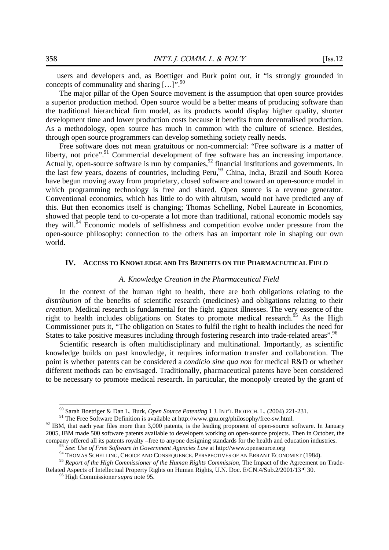users and developers and, as Boettiger and Burk point out, it "is strongly grounded in concepts of communality and sharing  $\left[\ldots\right]$ ".<sup>90</sup>

The major pillar of the Open Source movement is the assumption that open source provides a superior production method. Open source would be a better means of producing software than the traditional hierarchical firm model, as its products would display higher quality, shorter development time and lower production costs because it benefits from decentralised production. As a methodology, open source has much in common with the culture of science. Besides, through open source programmers can develop something society really needs.

Free software does not mean gratuitous or non-commercial: "Free software is a matter of liberty, not price".<sup>91</sup> Commercial development of free software has an increasing importance. Actually, open-source software is run by companies,  $92$  financial institutions and governments. In the last few years, dozens of countries, including Peru,<sup>93</sup> China, India, Brazil and South Korea have begun moving away from proprietary, closed software and toward an open-source model in which programming technology is free and shared. Open source is a revenue generator. Conventional economics, which has little to do with altruism, would not have predicted any of this. But then economics itself is changing; Thomas Schelling, Nobel Laureate in Economics, showed that people tend to co-operate a lot more than traditional, rational economic models say they will.<sup>94</sup> Economic models of selfishness and competition evolve under pressure from the open-source philosophy: connection to the others has an important role in shaping our own world.

### **IV. ACCESS TO KNOWLEDGE AND ITS BENEFITS ON THE PHARMACEUTICAL FIELD**

#### *A. Knowledge Creation in the Pharmaceutical Field*

In the context of the human right to health, there are both obligations relating to the *distribution* of the benefits of scientific research (medicines) and obligations relating to their *creation*. Medical research is fundamental for the fight against illnesses. The very essence of the right to health includes obligations on States to promote medical research.<sup>95</sup> As the High Commissioner puts it, "The obligation on States to fulfil the right to health includes the need for States to take positive measures including through fostering research into trade-related areas".<sup>96</sup>

Scientific research is often multidisciplinary and multinational. Importantly, as scientific knowledge builds on past knowledge, it requires information transfer and collaboration. The point is whether patents can be considered a *condicio sine qua non* for medical R&D or whether different methods can be envisaged. Traditionally, pharmaceutical patents have been considered to be necessary to promote medical research. In particular, the monopoly created by the grant of

<sup>&</sup>lt;sup>90</sup> Sarah Boettiger & Dan L. Burk, Open Source Patenting 1 J. INT'L BIOTECH. L. (2004) 221-231.

<sup>&</sup>lt;sup>91</sup> The Free Software Definition is available at http://www.gnu.org/philosophy/free-sw.html.<br><sup>92</sup> IBM, that each year files more than 3,000 patents, is the leading proponent of open-source software. In January 2005, IBM made 500 software patents available to developers working on open-source projects. Then in October, the company offered all its patents royalty –free to anyone designing standards for the health and education industries.<br><sup>93</sup> See: Use of Free Software in Government Agencies Law at http://www.opensource.org<br><sup>94</sup> THOMAS SCHELL

Related Aspects of Intellectual Property Rights on Human Rights, U.N. Doc. E/CN.4/Sub.2/2001/13 ¶ 30. 96 High Commissioner *supra* note 95.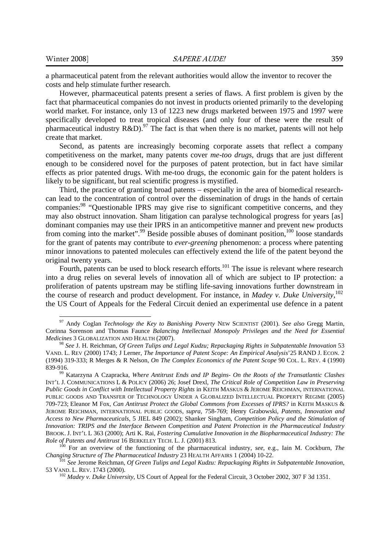-

a pharmaceutical patent from the relevant authorities would allow the inventor to recover the costs and help stimulate further research.

However, pharmaceutical patents present a series of flaws. A first problem is given by the fact that pharmaceutical companies do not invest in products oriented primarily to the developing world market. For instance, only 13 of 1223 new drugs marketed between 1975 and 1997 were specifically developed to treat tropical diseases (and only four of these were the result of pharmaceutical industry R&D).<sup>97</sup> The fact is that when there is no market, patents will not help create that market.

Second, as patents are increasingly becoming corporate assets that reflect a company competitiveness on the market, many patents cover *me-too drugs*, drugs that are just different enough to be considered novel for the purposes of patent protection, but in fact have similar effects as prior patented drugs. With me-too drugs, the economic gain for the patent holders is likely to be significant, but real scientific progress is mystified.

Third, the practice of granting broad patents – especially in the area of biomedical researchcan lead to the concentration of control over the dissemination of drugs in the hands of certain companies:<sup>98</sup> "Questionable IPRS may give rise to significant competitive concerns, and they may also obstruct innovation. Sham litigation can paralyse technological progress for years [as] dominant companies may use their IPRS in an anticompetitive manner and prevent new products from coming into the market".<sup>99</sup> Beside possible abuses of dominant position,  $100$  loose standards for the grant of patents may contribute to *ever-greening* phenomenon: a process where patenting minor innovations to patented molecules can effectively extend the life of the patent beyond the original twenty years.

Fourth, patents can be used to block research efforts.<sup>101</sup> The issue is relevant where research into a drug relies on several levels of innovation all of which are subject to IP protection: a proliferation of patents upstream may be stifling life-saving innovations further downstream in the course of research and product development. For instance, in *Madey v. Duke University*, 102 the US Court of Appeals for the Federal Circuit denied an experimental use defence in a patent

<sup>97</sup> Andy Coglan *Technology the Key to Banishing Poverty* NEW SCIENTIST (2001). *See also* Gregg Martin, Corinna Sorenson and Thomas Faunce *Balancing Intellectual Monopoly Privileges and the Need for Essential Medicines* 3 GLOBALIZATION AND HEALTH (2007).<br><sup>98</sup> *See* J. H. Reichman, *Of Green Tulips and Legal Kudzu; Repackaging Rights in Subpatentable Innovation* 53

VAND. L. REV (2000) 1743; J Lerner, *The Importance of Patent Scope: An Empirical Analysis*'25 RAND J. ECON. 2 (1994) 319-333; R Merges & R Nelson, *On The Complex Economics of the Patent Scope* 90 COL. L. REV. 4 (1990)

<sup>&</sup>lt;sup>99</sup> Katarzyna A Czapracka, *Where Antitrust Ends and IP Begins- On the Roots of the Transatlantic Clashes* INT'L J. COMMUNICATIONS L & POLICY (2006) 26; Josef Drexl, *The Critical Role of Competition Law in Preserving Public Goods in Conflict with Intellectual Property Rights* in KEITH MASKUS & JEROME REICHMAN, INTERNATIONAL PUBLIC GOODS AND TRANSFER OF TECHNOLOGY UNDER A GLOBALIZED INTELLECTUAL PROPERTY REGIME (2005) 709-723; Eleanor M Fox, *Can Antitrust Protect the Global Commons from Excesses of IPRS?* in KEITH MASKUS & JEROME REICHMAN, INTERNATIONAL PUBLIC GOODS, *supra*, 758-769; Henry Grabowski, *Patents, Innovation and Access to New Pharmaceuticals*, 5 JIEL 849 (2002); Shanker Singham, *Competition Policy and the Stimulation of Innovation: TRIPS and the Interface Between Competition and Patent Protection in the Pharmaceutical Industry*  BROOK. J. INT'L L 363 (2000); Arti K. Rai, *Fostering Cumulative Innovation in the Biopharmaceutical Industry: The* 

<sup>&</sup>lt;sup>100</sup> For an overview of the functioning of the pharmaceutical industry, *see*, e.g., Iain M. Cockburn, *The Changing Structure of The Pharmaceutical Industry* 23 HEALTH AFFAIRS 1 (2004) 10-22.

<sup>&</sup>lt;sup>101</sup> See Jerome Reichman, *Of Green Tulips and Legal Kudzu: Repackaging Rights in Subpatentable Innovation*, 53 VAND. L. REV. 1743 (2000).

<sup>&</sup>lt;sup>102</sup> Madey v. Duke University, US Court of Appeal for the Federal Circuit, 3 October 2002, 307 F 3d 1351.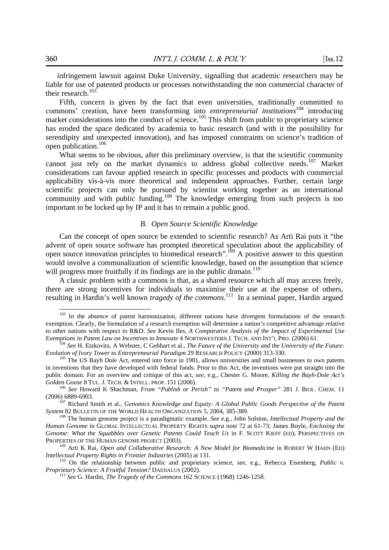infringement lawsuit against Duke University, signalling that academic researchers may be liable for use of patented products or processes notwithstanding the non commercial character of their research.<sup>103</sup>

Fifth, concern is given by the fact that even universities, traditionally committed to commons' creation, have been transforming into *entrepreneurial institutions*<sup>104</sup> introducing market considerations into the conduct of science.<sup>105</sup> This shift from public to proprietary science has eroded the space dedicated by academia to basic research (and with it the possibility for serendipity and unexpected innovation), and has imposed constraints on science's tradition of open publication.<sup>106</sup>

What seems to be obvious, after this preliminary overview, is that the scientific community cannot just rely on the market dynamics to address global collective needs.<sup>107</sup> Market considerations can favour applied research in specific processes and products with commercial applicability vis-à-vis more theoretical and independent approaches. Further, certain large scientific projects can only be pursued by scientist working together as an international community and with public funding.<sup>108</sup> The knowledge emerging from such projects is too important to be locked up by IP and it has to remain a public good.

#### *B. Open Source Scientific Knowledge*

Can the concept of open source be extended to scientific research? As Arti Rai puts it "the advent of open source software has prompted theoretical speculation about the applicability of open source innovation principles to biomedical research".<sup>109</sup> A positive answer to this question would involve a communalization of scientific knowledge, based on the assumption that science will progress more fruitfully if its findings are in the public domain.<sup>110</sup>

A classic problem with a commons is that, as a shared resource which all may access freely, there are strong incentives for individuals to maximise their use at the expense of others, resulting in Hardin's well known *tragedy of the commons*.<sup>111</sup> In a seminal paper, Hardin argued

<sup>&</sup>lt;sup>103</sup> In the absence of patent harmonization, different nations have divergent formulations of the research exemption. Clearly, the formulation of a research exemption will determine a nation's competitive advantage relative to other nations with respect to R&D. *See* Kevin Iles, *A Comparative Analysis of the Impact of Experimental Use*  Exemptions in Patent Law on Incentives to Innovate 4 NORTHWESTERN J. TECH. AND INT'L PRO. (2006) 61.<br><sup>104</sup> See H. Etzkovitz, A Webster, C Gebhart et al., *The Future of the University and the University of the Future*:

*Evolution of Ivory Tower to Entrepreneurial Paradigm* 29 RESEARCH POLICY (2000) 313-330.<br><sup>105</sup> The US Bayh Dole Act, entered into force in 1981, allows universities and small businesses to own patents

in inventions that they have developed with federal funds. Prior to this Act, the inventions were put straight into the public domain. For an overview and critique of this act, *see*, e.g., Chester G. Moore, *Killing the Bayh-Dole Act's* 

*Golden Goose* 8 TUL. J. TECH. & INTELL. PROP. 151 (2006).<br><sup>106</sup> *See* Howard K Shachman, *From "Publish or Perish" to "Patent and Prosper"* 281 J. BIOL. CHEM. 11 (2006) 6889-6903.

<sup>&</sup>lt;sup>107</sup> Richard Smith et al., *Genomics Knowledge and Equity: A Global Public Goods Perspective of the Patent System* 82 BULLETIN OF THE WORLD HEALTH ORGANIZATION 5, 2004, 385-389.<br><sup>108</sup> The human genome project is a paradigmatic example. *See* e.g., John Sulston, *Intellectual Property and the* 

*Human Genome* in GLOBAL INTELLECTUAL PROPERTY RIGHTS *supra* note 72 at 61-73; James Boyle, *Enclosing the Genome: What the Squabbles over Genetic Patents Could Teach Us* in F. SCOTT KIEFF (ED), PERSPECTIVES ON PROPERTIES OF THE HUMAN GENOME PROJECT (2003). 109 Arti K Rai, *Open and Collaborative Research: A New Model for Biomedicine* in ROBERT W HAHN (ED)

*Intellectual Property Rights in Frontier Industries* (2005) at 131.<br><sup>110</sup> On the relationship between public and proprietary science, *see*, e.g., Rebecca Eisenberg, *Public v.*<br>*Proprietary Science: A Fruitful Tension?*

<sup>&</sup>lt;sup>111</sup> See G. Hardin, *The Tragedy of the Commons* 162 SCIENCE (1968) 1246-1258.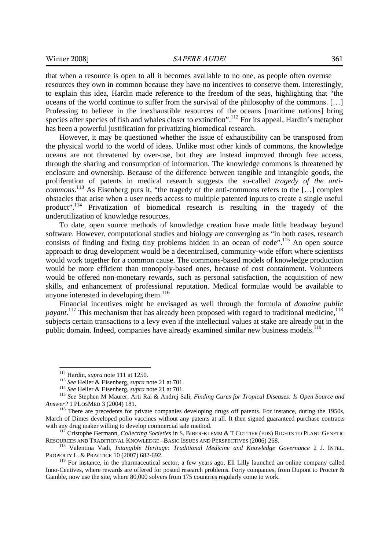that when a resource is open to all it becomes available to no one, as people often overuse resources they own in common because they have no incentives to conserve them. Interestingly, to explain this idea, Hardin made reference to the freedom of the seas, highlighting that "the oceans of the world continue to suffer from the survival of the philosophy of the commons. […] Professing to believe in the inexhaustible resources of the oceans [maritime nations] bring species after species of fish and whales closer to extinction".<sup>112</sup> For its appeal, Hardin's metaphor has been a powerful justification for privatizing biomedical research.

However, it may be questioned whether the issue of exhaustibility can be transposed from the physical world to the world of ideas. Unlike most other kinds of commons, the knowledge oceans are not threatened by over-use, but they are instead improved through free access, through the sharing and consumption of information. The knowledge commons is threatened by enclosure and ownership. Because of the difference between tangible and intangible goods, the proliferation of patents in medical research suggests the so-called *tragedy of the anticommons*. 113 As Eisenberg puts it, "the tragedy of the anti-commons refers to the […] complex obstacles that arise when a user needs access to multiple patented inputs to create a single useful product".114 Privatization of biomedical research is resulting in the tragedy of the underutilization of knowledge resources.

To date, open source methods of knowledge creation have made little headway beyond software. However, computational studies and biology are converging as "in both cases, research consists of finding and fixing tiny problems hidden in an ocean of code".<sup>115</sup> An open source approach to drug development would be a decentralised, community-wide effort where scientists would work together for a common cause. The commons-based models of knowledge production would be more efficient than monopoly-based ones, because of cost containment. Volunteers would be offered non-monetary rewards, such as personal satisfaction, the acquisition of new skills, and enhancement of professional reputation. Medical formulae would be available to anyone interested in developing them.<sup>116</sup>

Financial incentives might be envisaged as well through the formula of *domaine public*  payant.<sup>117</sup> This mechanism that has already been proposed with regard to traditional medicine,<sup>118</sup> subjects certain transactions to a levy even if the intellectual values at stake are already put in the public domain. Indeed, companies have already examined similar new business models.<sup>119</sup>

 $112$  Hardin, *supra* note 111 at 1250.

<sup>&</sup>lt;sup>113</sup> See Heller & Eisenberg, *supra* note 21 at 701.<br><sup>114</sup> See Heller & Eisenberg, *supra* note 21 at 701.<br><sup>115</sup> See Stephen M Maurer, Arti Rai & Andrej Sali, *Finding Cures for Tropical Diseases: Is Open Source and Answer?* 1 PLOSMED 3 (2004) 181. **116** There are precedents for private companies developing drugs off patents. For instance, during the 1950s,

March of Dimes developed polio vaccines without any patents at all. It then signed guaranteed purchase contracts with any drug maker willing to develop commercial sale method.

<sup>&</sup>lt;sup>117</sup> Cristophe Germann, *Collecting Societies* in S. BIBER-KLEMM & T COTTIER (EDS) RIGHTS TO PLANT GENETIC RESOURCES AND TRADITIONAL KNOWLEDGE -BASIC ISSUES AND PERSPECTIVES (2006) 268.

<sup>&</sup>lt;sup>118</sup> Valentina Vadi, *Intangible Heritage: Traditional Medicine and Knowledge Governance* 2 J. INTEL. PROPERTY L. & PRACTICE 10 (2007) 682-692.<br><sup>119</sup> For instance, in the pharmaceutical sector, a few years ago, Eli Lilly launched an online company called

Inno-Centives, where rewards are offered for posted research problems. Forty companies, from Dupont to Procter & Gamble, now use the site, where 80,000 solvers from 175 countries regularly come to work.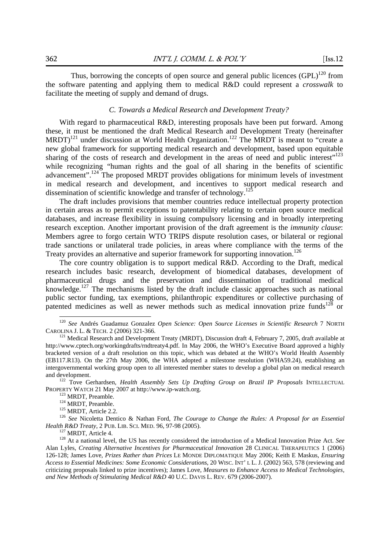Thus, borrowing the concepts of open source and general public licences  $(GPL)^{120}$  from the software patenting and applying them to medical R&D could represent a *crosswalk* to facilitate the meeting of supply and demand of drugs.

## *C. Towards a Medical Research and Development Treaty?*

With regard to pharmaceutical R&D, interesting proposals have been put forward. Among these, it must be mentioned the draft Medical Research and Development Treaty (hereinafter  $MRDT$ <sup>121</sup> under discussion at World Health Organization.<sup>122</sup> The MRDT is meant to "create a new global framework for supporting medical research and development, based upon equitable sharing of the costs of research and development in the areas of need and public interest"<sup>123</sup> while recognizing "human rights and the goal of all sharing in the benefits of scientific advancement".<sup>124</sup> The proposed MRDT provides obligations for minimum levels of investment in medical research and development, and incentives to support medical research and dissemination of scientific knowledge and transfer of technology.<sup>125</sup>

The draft includes provisions that member countries reduce intellectual property protection in certain areas as to permit exceptions to patentability relating to certain open source medical databases, and increase flexibility in issuing compulsory licensing and in broadly interpreting research exception. Another important provision of the draft agreement is the *immunity clause*: Members agree to forgo certain WTO TRIPS dispute resolution cases, or bilateral or regional trade sanctions or unilateral trade policies, in areas where compliance with the terms of the Treaty provides an alternative and superior framework for supporting innovation.<sup>126</sup>

The core country obligation is to support medical R&D. According to the Draft, medical research includes basic research, development of biomedical databases, development of pharmaceutical drugs and the preservation and dissemination of traditional medical knowledge.<sup>127</sup> The mechanisms listed by the draft include classic approaches such as national public sector funding, tax exemptions, philanthropic expenditures or collective purchasing of patented medicines as well as newer methods such as medical innovation prize funds<sup>128</sup> or

-

PROPERTY WATCH 21 May 2007 at http://www.ip-watch.org.<br>
<sup>123</sup> MRDT, Preamble.<br>
<sup>124</sup> MRDT, Preamble.<br>
<sup>125</sup> MRDT, Article 2.2.<br>
<sup>125</sup> See Nicoletta Dentico & Nathan Ford, *The Courage to Change the Rules: A Proposal for an* 

<sup>120</sup> *See* Andrés Guadamuz Gonzalez *Open Science: Open Source Licenses in Scientific Research* 7 NORTH CAROLINA J. L. & TECH. 2 (2006) 321-366. 121 Medical Research and Development Treaty (MRDT), Discussion draft 4, February 7, 2005, draft available at

http://www.cptech.org/workingdrafts/rndtreaty4.pdf. In May 2006, the WHO's Executive Board approved a highly bracketed version of a draft resolution on this topic, which was debated at the WHO's World Health Assembly (EB117.R13). On the 27th May 2006, the WHA adopted a milestone resolution (WHA59.24), establishing an intergovernmental working group open to all interested member states to develop a global plan on medical research and development. 122 Tove Gerhardsen, *Health Assembly Sets Up Drafting Group on Brazil IP Proposals* INTELLECTUAL

<sup>&</sup>lt;sup>127</sup> MRDT, Article 4.<br><sup>128</sup> At a national level, the US has recently considered the introduction of a Medical Innovation Prize Act. *See* Alan Lyles, *Creating Alternative Incentives for Pharmaceutical Innovation* 28 CLINICAL THERAPEUTICS 1 (2006) 126-128; James Love, *Prizes Rather than Prices* LE MONDE DIPLOMATIQUE May 2006; Keith E Maskus, *Ensuring Access to Essential Medicines: Some Economic Considerations*, 20 WISC. INT' L L. J. (2002) 563, 578 (reviewing and criticizing proposals linked to prize incentives); James Love, *Measures to Enhance Access to Medical Technologies, and New Methods of Stimulating Medical R&D* 40 U.C. DAVIS L. REV. 679 (2006-2007).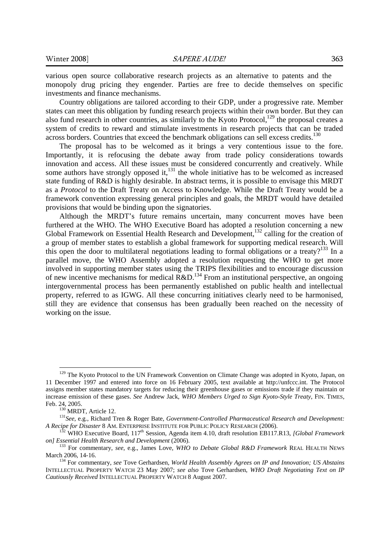various open source collaborative research projects as an alternative to patents and the monopoly drug pricing they engender. Parties are free to decide themselves on specific investments and finance mechanisms.

Country obligations are tailored according to their GDP, under a progressive rate. Member states can meet this obligation by funding research projects within their own border. But they can also fund research in other countries, as similarly to the Kyoto Protocol, $129$  the proposal creates a system of credits to reward and stimulate investments in research projects that can be traded across borders. Countries that exceed the benchmark obligations can sell excess credits.<sup>130</sup>

The proposal has to be welcomed as it brings a very contentious issue to the fore. Importantly, it is refocusing the debate away from trade policy considerations towards innovation and access. All these issues must be considered concurrently and creatively. While some authors have strongly opposed it, $131$  the whole initiative has to be welcomed as increased state funding of R&D is highly desirable. In abstract terms, it is possible to envisage this MRDT as a *Protocol* to the Draft Treaty on Access to Knowledge. While the Draft Treaty would be a framework convention expressing general principles and goals, the MRDT would have detailed provisions that would be binding upon the signatories.

Although the MRDT's future remains uncertain, many concurrent moves have been furthered at the WHO. The WHO Executive Board has adopted a resolution concerning a new Global Framework on Essential Health Research and Development,<sup>132</sup> calling for the creation of a group of member states to establish a global framework for supporting medical research. Will this open the door to multilateral negotiations leading to formal obligations or a treaty?<sup>133</sup> In a parallel move, the WHO Assembly adopted a resolution requesting the WHO to get more involved in supporting member states using the TRIPS flexibilities and to encourage discussion of new incentive mechanisms for medical  $R&D$ .<sup>134</sup> From an institutional perspective, an ongoing intergovernmental process has been permanently established on public health and intellectual property, referred to as IGWG. All these concurring initiatives clearly need to be harmonised, still they are evidence that consensus has been gradually been reached on the necessity of working on the issue.

<sup>&</sup>lt;sup>129</sup> The Kyoto Protocol to the UN Framework Convention on Climate Change was adopted in Kyoto, Japan, on 11 December 1997 and entered into force on 16 February 2005, text available at http://unfccc.int. The Protocol assigns member states mandatory targets for reducing their greenhouse gases or emissions trade if they maintain or increase emission of these gases. *See* Andrew Jack, *WHO Members Urged to Sign Kyoto-Style Treaty*, FIN. TIMES,

Feb. 24, 2005.<br><sup>130</sup> MRDT, Article 12.<br><sup>131</sup>*See*, e.g., Richard Tren & Roger Bate, *Government-Controlled Pharmaceutical Research and Development:*<br>*A Recipe for Disaster* 8 AM. ENTERPRISE INSTITUTE FOR PUBLIC POLICY RESE

WHO Executive Board, 117<sup>th</sup> Session, Agenda item 4.10, draft resolution EB117.R13, *[Global Framework* 

*on] Essential Health Research and Development* (2006). 133 For commentary, *see*, e.g., James Love, *WHO to Debate Global R&D Framework* REAL HEALTH NEWS

<sup>&</sup>lt;sup>134</sup> For commentary, *see* Tove Gerhardsen, *World Health Assembly Agrees on IP and Innovation; US Abstains* INTELLECTUAL PROPERTY WATCH 23 May 2007; *see also* Tove Gerhardsen, *WHO Draft Negotiating Text on IP Cautiously Received* INTELLECTUAL PROPERTY WATCH 8 August 2007.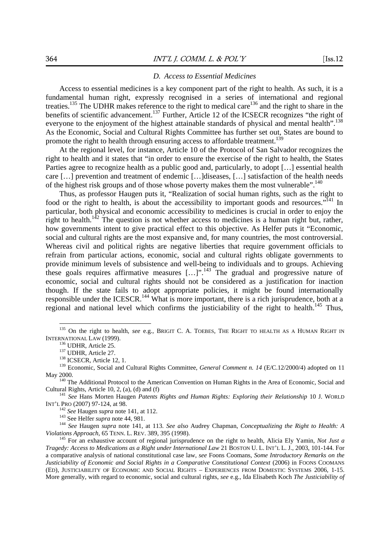## *D. Access to Essential Medicines*

Access to essential medicines is a key component part of the right to health. As such, it is a fundamental human right, expressly recognised in a series of international and regional treaties.<sup>135</sup> The UDHR makes reference to the right to medical care<sup>136</sup> and the right to share in the benefits of scientific advancement.<sup>137</sup> Further, Article 12 of the ICSECR recognizes "the right of everyone to the enjoyment of the highest attainable standards of physical and mental health".<sup>138</sup> As the Economic, Social and Cultural Rights Committee has further set out, States are bound to promote the right to health through ensuring access to affordable treatment.<sup>139</sup>

At the regional level, for instance, Article 10 of the Protocol of San Salvador recognizes the right to health and it states that "in order to ensure the exercise of the right to health, the States Parties agree to recognize health as a public good and, particularly, to adopt [...] essential health care […] prevention and treatment of endemic […]diseases, […] satisfaction of the health needs of the highest risk groups and of those whose poverty makes them the most vulnerable".<sup>140</sup>

Thus, as professor Haugen puts it, "Realization of social human rights, such as the right to food or the right to health, is about the accessibility to important goods and resources."<sup>141</sup> In particular, both physical and economic accessibility to medicines is crucial in order to enjoy the right to health.<sup>142</sup> The question is not whether access to medicines is a human right but, rather, how governments intent to give practical effect to this objective. As Helfer puts it "Economic, social and cultural rights are the most expansive and, for many countries, the most controversial. Whereas civil and political rights are negative liberties that require government officials to refrain from particular actions, economic, social and cultural rights obligate governments to provide minimum levels of subsistence and well-being to individuals and to groups. Achieving these goals requires affirmative measures  $[\dots]$ ".<sup>143</sup> The gradual and progressive nature of economic, social and cultural rights should not be considered as a justification for inaction though. If the state fails to adopt appropriate policies, it might be found internationally responsible under the ICESCR.<sup>144</sup> What is more important, there is a rich jurisprudence, both at a regional and national level which confirms the justiciability of the right to health.<sup>145</sup> Thus,

<sup>&</sup>lt;sup>135</sup> On the right to health, *see* e.g., BRIGIT C. A. TOEBES, THE RIGHT TO HEALTH AS A HUMAN RIGHT IN INTERNATIONAL LAW (1999).<br><sup>136</sup> UDHR, Article 25. <sup>137</sup> UDHR, Article 27. <sup>138</sup> ICSECR, Article 12, 1. <sup>138</sup> Economic, Social and Cultural Rights Committee, *General Comment n. 14* (E/C.12/2000/4) adopted on 11

May 2000.<br><sup>140</sup> The Additional Protocol to the American Convention on Human Rights in the Area of Economic, Social and Cultural Rights, Article 10, 2, (a), (d) and (f) 141 *See* Hans Morten Haugen *Patents Rights and Human Rights: Exploring their Relationship* 10 J. WORLD

INT'L PRO (2007) 97-124, at 98.<br>
<sup>142</sup> See Haugen supra note 141, at 112.<br>
<sup>143</sup> See Helfer supra note 44, 981.<br>
<sup>144</sup> See Haugen supra note 141, at 113. See also Audrey Chapman, Conceptualizing the Right to Health: A Vio

<sup>&</sup>lt;sup>145</sup> For an exhaustive account of regional jurisprudence on the right to health, Alicia Ely Yamin, *Not Just a Tragedy: Access to Medications as a Right under International Law* 21 BOSTON U. L. INT'L L. J., 2003, 101-144. For a comparative analysis of national constitutional case law, *see* Foons Coomans, *Some Introductory Remarks on the Justiciability of Economic and Social Rights in a Comparative Constitutional Context* (2006) in FOONS COOMANS (ED), JUSTICIABILITY OF ECONOMIC AND SOCIAL RIGHTS – EXPERIENCES FROM DOMESTIC SYSTEMS 2006, 1-15. More generally, with regard to economic, social and cultural rights, *see* e.g., Ida Elisabeth Koch *The Justiciability of*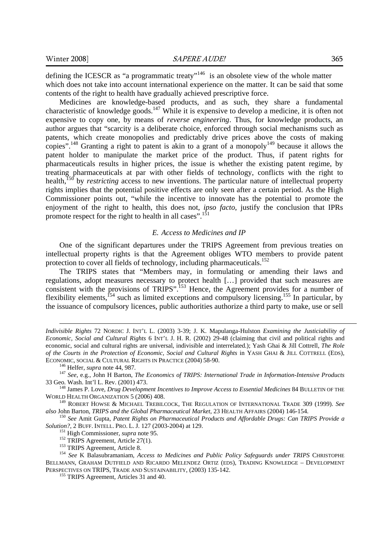defining the ICESCR as "a programmatic treaty"<sup>146</sup> is an obsolete view of the whole matter which does not take into account international experience on the matter. It can be said that some contents of the right to health have gradually achieved prescriptive force.

Medicines are knowledge-based products, and as such, they share a fundamental characteristic of knowledge goods.147 While it is expensive to develop a medicine, it is often not expensive to copy one, by means of *reverse engineering*. Thus, for knowledge products, an author argues that "scarcity is a deliberate choice, enforced through social mechanisms such as patents, which create monopolies and predictably drive prices above the costs of making copies".<sup>148</sup> Granting a right to patent is akin to a grant of a monopoly<sup>149</sup> because it allows the patent holder to manipulate the market price of the product. Thus, if patent rights for pharmaceuticals results in higher prices, the issue is whether the existing patent regime, by treating pharmaceuticals at par with other fields of technology, conflicts with the right to health,<sup>150</sup> by *restricting* access to new inventions. The particular nature of intellectual property rights implies that the potential positive effects are only seen after a certain period. As the High Commissioner points out, "while the incentive to innovate has the potential to promote the enjoyment of the right to health, this does not, *ipso facto*, justify the conclusion that IPRs promote respect for the right to health in all cases".<sup>151</sup>

### *E. Access to Medicines and IP*

One of the significant departures under the TRIPS Agreement from previous treaties on intellectual property rights is that the Agreement obliges WTO members to provide patent protection to cover all fields of technology, including pharmaceuticals.<sup>152</sup>

The TRIPS states that "Members may, in formulating or amending their laws and regulations, adopt measures necessary to protect health […] provided that such measures are consistent with the provisions of TRIPS".<sup>153</sup> Hence, the Agreement provides for a number of flexibility elements,154 such as limited exceptions and compulsory licensing.155 In particular, by the issuance of compulsory licences, public authorities authorize a third party to make, use or sell

*Indivisible Rights* 72 NORDIC J. INT'L L. (2003) 3-39; J. K. Mapulanga-Hulston *Examining the Justiciability of Economic, Social and Cultural Rights* 6 INT'L J. H. R. (2002) 29-48 (claiming that civil and political rights and economic, social and cultural rights are universal, indivisible and interrelated.); Yash Ghai & Jill Cottrell, *The Role of the Courts in the Protection of Economic, Social and Cultural Rights* in YASH GHAI & JILL COTTRELL (EDS),

ECONOMIC, SOCIAL & CULTURAL RIGHTS IN PRACTICE (2004) 58-90.<br><sup>146</sup> Helfer, *supra* note 44, 987.<br><sup>147</sup> *See*, e.g., John H Barton, *The Economics of TRIPS: International Trade in Information-Intensive Products*<br>33 Geo. Was

<sup>&</sup>lt;sup>148</sup> James P. Love, *Drug Development Incentives to Improve Access to Essential Medicines* 84 BULLETIN OF THE WORLD HEALTH ORGANIZATION 5 (2006) 408.

<sup>&</sup>lt;sup>149</sup> ROBERT HOWSE & MICHAEL TREBILCOCK, THE REGULATION OF INTERNATIONAL TRADE 309 (1999). *See also John Barton, TRIPS and the Global Pharmaceutical Market*, 23 HEALTH AFFAIRS (2004) 146-154.

<sup>&</sup>lt;sup>150</sup> See Amit Gupta, Patent Rights on Pharmaceutical Products and Affordable Drugs: Can TRIPS Provide a Solution?, 2 BUFF. INTELL. PRO. L. J. 127 (2003-2004) at 129.

<sup>&</sup>lt;sup>151</sup> High Commissioner, *supra* note 95.<br><sup>152</sup> TRIPS Agreement, Article 27(1).<br><sup>153</sup> TRIPS Agreement, Article 8.<br><sup>153</sup> See K Balasubramaniam, *Access to Medicines and Public Policy Safeguards under TRIPS* CHRISTOPHE BELLMANN, GRAHAM DUTFIELD AND RICARDO MELENDEZ ORTIZ (EDS), TRADING KNOWLEDGE – DEVELOPMENT PERSPECTIVES ON TRIPS, TRADE AND SUSTAINABILITY, (2003) 135-142.<br><sup>155</sup> TRIPS Agreement, Articles 31 and 40.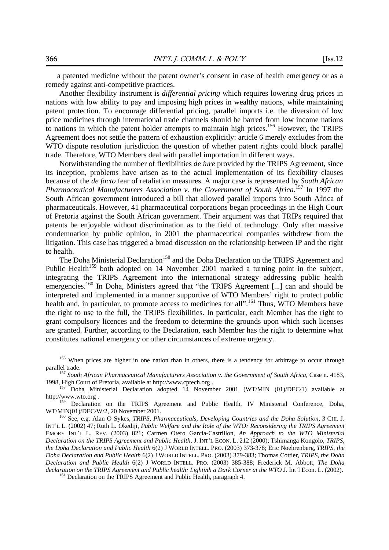a patented medicine without the patent owner's consent in case of health emergency or as a remedy against anti-competitive practices.

Another flexibility instrument is *differential pricing* which requires lowering drug prices in nations with low ability to pay and imposing high prices in wealthy nations, while maintaining patent protection. To encourage differential pricing, parallel imports i.e. the diversion of low price medicines through international trade channels should be barred from low income nations to nations in which the patent holder attempts to maintain high prices.<sup>156</sup> However, the TRIPS Agreement does not settle the pattern of exhaustion explicitly: article 6 merely excludes from the WTO dispute resolution jurisdiction the question of whether patent rights could block parallel trade. Therefore, WTO Members deal with parallel importation in different ways.

Notwithstanding the number of flexibilities *de iure* provided by the TRIPS Agreement, since its inception, problems have arisen as to the actual implementation of its flexibility clauses because of the *de facto* fear of retaliation measures. A major case is represented by *South African Pharmaceutical Manufacturers Association v. the Government of South Africa.*<sup>157</sup> In 1997 the South African government introduced a bill that allowed parallel imports into South Africa of pharmaceuticals. However, 41 pharmaceutical corporations began proceedings in the High Court of Pretoria against the South African government. Their argument was that TRIPs required that patents be enjoyable without discrimination as to the field of technology. Only after massive condemnation by public opinion, in 2001 the pharmaceutical companies withdrew from the litigation. This case has triggered a broad discussion on the relationship between IP and the right to health.

The Doha Ministerial Declaration<sup>158</sup> and the Doha Declaration on the TRIPS Agreement and Public Health<sup>159</sup> both adopted on 14 November 2001 marked a turning point in the subject, integrating the TRIPS Agreement into the international strategy addressing public health emergencies.<sup>160</sup> In Doha, Ministers agreed that "the TRIPS Agreement [...] can and should be interpreted and implemented in a manner supportive of WTO Members' right to protect public health and, in particular, to promote access to medicines for all".<sup>161</sup> Thus, WTO Members have the right to use to the full, the TRIPS flexibilities. In particular, each Member has the right to grant compulsory licences and the freedom to determine the grounds upon which such licenses are granted. Further, according to the Declaration, each Member has the right to determine what constitutes national emergency or other circumstances of extreme urgency.

<sup>&</sup>lt;sup>156</sup> When prices are higher in one nation than in others, there is a tendency for arbitrage to occur through parallel trade. 157 *South African Pharmaceutical Manufacturers Association v. the Government of South Africa*, Case n. 4183,

<sup>1998,</sup> High Court of Pretoria, available at http://www.cptech.org . 158 Doha Ministerial Declaration adopted 14 November 2001 (WT/MIN (01)/DEC/1) available at

http://www.wto.org .<br><sup>159</sup> Declaration on the TRIPS Agreement and Public Health, IV Ministerial Conference, Doha,

WT/MIN(01)/DEC/W/2, 20 November 2001.<br><sup>160</sup> See, e.g. Alan O Sykes, *TRIPS, Pharmaceuticals, Developing Countries and the Doha Solution,* 3 CHI. J.

INT'L L. (2002) 47; Ruth L. Okediji, *Public Welfare and the Role of the WTO: Reconsidering the TRIPS Agreement* EMORY INT'L L. REV. (2003) 821; Carmen Otero Garcia-Castrillon, *An Approach to the WTO Ministerial Declaration on the TRIPS Agreement and Public Health*, J. INT'L ECON. L. 212 (2000); Tshimanga Kongolo, *TRIPS, the Doha Declaration and Public Health* 6(2) J WORLD INTELL. PRO. (2003) 373-378; Eric Noehrenberg, *TRIPS, the Doha Declaration and Public Health* 6(2) J WORLD INTELL. PRO. (2003) 379-383; Thomas Cottier, *TRIPS, the Doha Declaration and Public Health* 6(2) J WORLD INTELL. PRO. (2003) 385-388; Frederick M. Abbott, *The Doha declaration on the TRIPS Agreement and Public health: Lightinh a Dark Corner at the WTO J.* Int'l Econ. L. (2002). <sup>161</sup> Declaration on the TRIPS Agreement and Public Health, paragraph 4.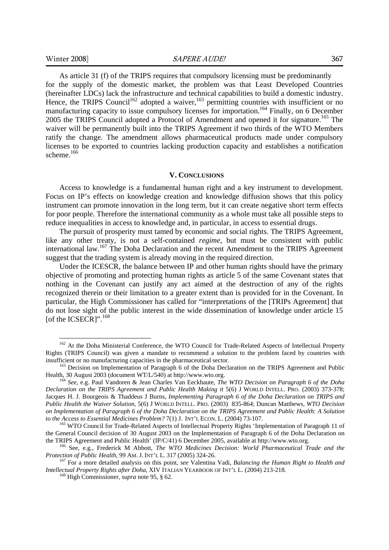1

As article 31 (f) of the TRIPS requires that compulsory licensing must be predominantly for the supply of the domestic market, the problem was that Least Developed Countries (hereinafter LDCs) lack the infrastructure and technical capabilities to build a domestic industry. Hence, the TRIPS Council<sup>162</sup> adopted a waiver,<sup>163</sup> permitting countries with insufficient or no manufacturing capacity to issue compulsory licenses for importation.<sup>164</sup> Finally, on 6 December 2005 the TRIPS Council adopted a Protocol of Amendment and opened it for signature.<sup>165</sup> The waiver will be permanently built into the TRIPS Agreement if two thirds of the WTO Members ratify the change. The amendment allows pharmaceutical products made under compulsory licenses to be exported to countries lacking production capacity and establishes a notification scheme.<sup>166</sup>

#### **V. CONCLUSIONS**

Access to knowledge is a fundamental human right and a key instrument to development. Focus on IP's effects on knowledge creation and knowledge diffusion shows that this policy instrument can promote innovation in the long term, but it can create negative short term effects for poor people. Therefore the international community as a whole must take all possible steps to reduce inequalities in access to knowledge and, in particular, in access to essential drugs.

The pursuit of prosperity must tamed by economic and social rights. The TRIPS Agreement, like any other treaty, is not a self-contained *regime*, but must be consistent with public international law.167 The Doha Declaration and the recent Amendment to the TRIPS Agreement suggest that the trading system is already moving in the required direction.

Under the ICESCR, the balance between IP and other human rights should have the primary objective of promoting and protecting human rights as article 5 of the same Covenant states that nothing in the Covenant can justify any act aimed at the destruction of any of the rights recognized therein or their limitation to a greater extent than is provided for in the Covenant. In particular, the High Commissioner has called for "interpretations of the [TRIPs Agreement] that do not lose sight of the public interest in the wide dissemination of knowledge under article 15 [of the ICSECR]".<sup>168</sup>

<sup>&</sup>lt;sup>162</sup> At the Doha Ministerial Conference, the WTO Council for Trade-Related Aspects of Intellectual Property Rights (TRIPS Council) was given a mandate to recommend a solution to the problem faced by countries with insufficient or no manufacturing capacities in the pharmaceutical sector.<br><sup>163</sup> Decision on Implementation of Paragraph 6 of the Doha Declaration on the TRIPS Agreement and Public

Health, 30 August 2003 (document WT/L/540) at http://www.wto.org. 164 *See*, e.g. Paul Vandoren & Jean Charles Van Eeckhaute, *The WTO Decision on Paragraph 6 of the Doha* 

*Declaration on the TRIPS Agreement and Public Health Making it* 5(6) J WORLD INTELL. PRO. (2003) 373-378; Jacques H. J. Bourgeois & Thaddeus J Burns, *Implementing Paragraph 6 of the Doha Declaration on TRIPS and Public Health the Waiver Solution*, 5(6) J WORLD INTELL. PRO. (2003) 835-864; Duncan Matthews, *WTO Decision on Implementation of Paragraph 6 of the Doha Declaration on the TRIPS Agreement and Public Health: A Solution to the Access to Essential Medicines Problem?* 7(1) J. INT'L ECON. L. (2004) 73-107.<br><sup>165</sup> WTO Council for Trade-Related Aspects of Intellectual Property Rights 'Implementation of Paragraph 11 of

the General Council decision of 30 August 2003 on the Implementation of Paragraph 6 of the Doha Declaration on the TRIPS Agreement and Public Health' (IP/C/41) 6 December 2005, available at http://www.wto.org. 166 See, e.g., Frederick M Abbott, *The WTO Medicines Decision: World Pharmaceutical Trade and the* 

*Protection of Public Health*, 99 AM. J. INT'L L. 317 (2005) 324-26.<br><sup>167</sup> For a more detailed analysis on this point, *see* Valentina Vadi, *Balancing the Human Right to Health and* 

*Intellectual Property Rights after Doha*, XIV ITALIAN YEARBOOK OF INT'L L. (2004) 213-218. 168 High Commissioner, *supra* note 95, § 62.